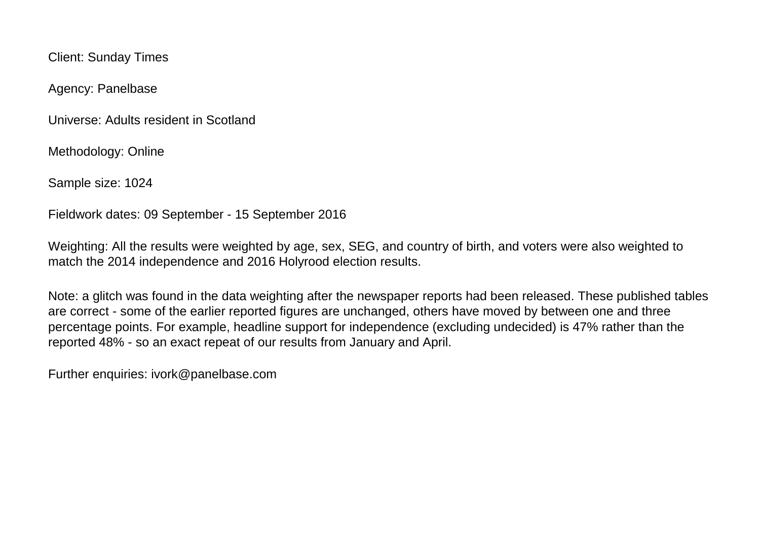Client: Sunday Times

Agency: Panelbase

Universe: Adults resident in Scotland

Methodology: Online

Sample size: 1024

Fieldwork dates: 09 September - 15 September 2016

Weighting: All the results were weighted by age, sex, SEG, and country of birth, and voters were also weighted to match the 2014 independence and 2016 Holyrood election results.

Note: a glitch was found in the data weighting after the newspaper reports had been released. These published tables are correct - some of the earlier reported figures are unchanged, others have moved by between one and three percentage points. For example, headline support for independence (excluding undecided) is 47% rather than the reported 48% - so an exact repeat of our results from January and April.

Further enquiries: ivork@panelbase.com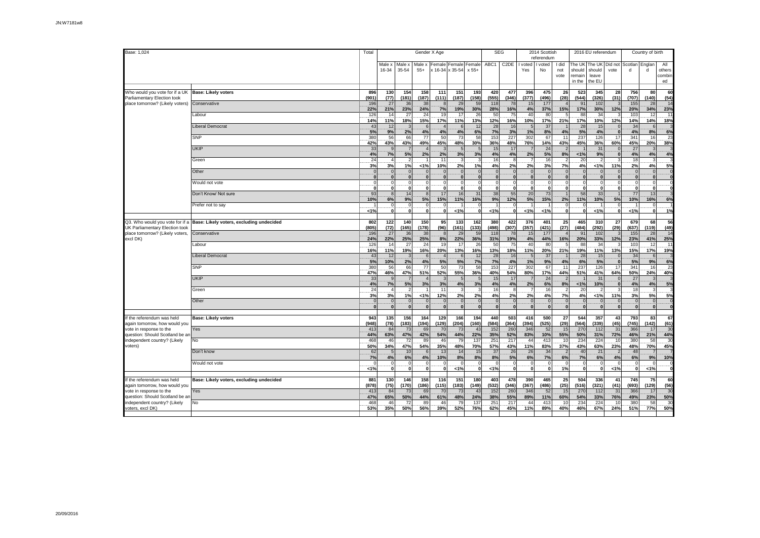| Base: 1,024                                                |                                          | Total        |                   |                          |                      | Gender X Age    |                             |                        | <b>SEG</b>      |                   |                             | 2014 Scottish<br>referendum |                      | 2016 EU referendum                   |                                     |                 |                      | Country of birth          |                               |
|------------------------------------------------------------|------------------------------------------|--------------|-------------------|--------------------------|----------------------|-----------------|-----------------------------|------------------------|-----------------|-------------------|-----------------------------|-----------------------------|----------------------|--------------------------------------|-------------------------------------|-----------------|----------------------|---------------------------|-------------------------------|
|                                                            |                                          |              | Male x<br>16-34   | Male ><br>35-54          | Male x<br>$55+$      | Female          | x 16-34 x 35-54             | Female Female<br>x 55+ | ABC1            | C <sub>2</sub> DE | I voted<br>Yes              | I voted<br>No               | I did<br>not<br>vote | The UK<br>should<br>remain<br>in the | The UK<br>should<br>leave<br>the EU | Did not<br>vote | Scotlan<br>d         | Englar<br>d               | All<br>others<br>combin<br>ed |
| Who would you vote for if a UK                             | <b>Base: Likely voters</b>               | 896          | 130               | 154                      | 158                  | 111             | 151                         | 193                    | 420             | 477               | 396                         | 475                         | 26                   | 523                                  | 345                                 | 28              | 756                  | 80                        | 60                            |
| Parliamentary Election took                                |                                          | (901)        | (77)              | (181)                    | (187)                | (111)           | (187)                       | (158)                  | (555)           | (346)             | (377)                       | (496)                       | (28)                 | (544)                                | (326)                               | (31)            | (707)                | (140)                     | (54)                          |
| place tomorrow? (Likely voters)                            | Conservative                             | 196          | 27                | 36                       | 38                   |                 | 29                          | 59                     | 118             | 78                | 15                          | 177                         |                      | 91                                   | 102                                 |                 | 155                  | 28                        | 14                            |
|                                                            | Labour                                   | 22%<br>126   | 21%<br>14         | 23%<br>27                | 24%<br>24            | 7%<br>19        | 19%<br>17                   | 30%<br>26              | 28%<br>50       | 16%<br>75         | 4%<br>40                    | 37%<br>80                   | 15%                  | 17%<br>88                            | 30%<br>34                           | 12%             | 20%<br>103           | 34%<br>12                 | 23%<br>11                     |
|                                                            | <b>Liberal Democrat</b>                  | 14%<br>43    | 11%<br>12         | 18%                      | 15%                  | 17%             | 11%                         | 13%<br>12              | 12%             | 16%               | 10%                         | 17%<br>37                   | 21%                  | 17%<br>28                            | 10%<br>15                           | 12%             | 14%<br>34            | 14%<br>6                  | 18%                           |
|                                                            |                                          | 5%           | 9%                | 2%                       | 6<br>4%              | 4%              | 6<br>4%                     | 6%                     | 28<br>7%        | 16<br>3%          | 1%                          | 8%                          | 4%                   | 5%                                   | 4%                                  |                 | 4%                   | 8%                        | 6%                            |
|                                                            | <b>SNP</b>                               | 380<br>42%   | 56<br>43%         | 66<br>43%                | 77<br>49%            | 50<br>45%       | 73<br>48%                   | 58<br>30%              | 153<br>36%      | 227<br>48%        | 302<br>76%                  | 67<br>14%                   | 11<br>43%            | 237<br>45%                           | 126<br>36%                          | 17<br>60%       | 341<br>45%           | 16<br>20%                 | 23<br>38%                     |
|                                                            | <b>UKIP</b>                              | 33           |                   |                          | $\overline{4}$       |                 | 5                           |                        | 15              | 17                |                             | 24                          |                      |                                      | 31                                  |                 | 27                   | 3                         |                               |
|                                                            | Green                                    | 4%<br>24     | 7%                | 5%                       | 2%                   | 2%<br>11        | 3%<br>3                     | 3%                     | 4%<br>16        | 4%                | 2%                          | 5%<br>16                    | 8%                   | 1%<br>20                             | 9%                                  |                 | 4%<br>18             | 4%<br>$\overline{3}$      | 4%                            |
|                                                            | Other                                    | 3%           | 3%<br>$\epsilon$  | 1%<br>$\Omega$           | 1%<br>$\overline{0}$ | 10%<br>$\Omega$ | 2%<br>$\mathbf{0}$          | 1%<br>$\mathfrak{c}$   | 4%              | 2%                | 2%<br>$\mathbf{0}$          | 3%<br>$\Omega$              | 7%                   | 4%<br>$\Omega$                       | 1%<br>$\Omega$                      | 11%             | 2%<br>$\Omega$       | 4%<br>$\mathbf 0$         | 5%<br>$\Omega$                |
|                                                            |                                          |              |                   |                          | $\Omega$             |                 | $\mathbf{0}$                |                        |                 |                   | $\Omega$                    | $\Omega$                    |                      |                                      |                                     |                 | $\Omega$             | $\mathbf 0$               |                               |
|                                                            | Would not vote                           | n            |                   | $\Omega$<br>$\mathbf{0}$ | $\Omega$<br>0        | n               | $\mathbf 0$<br>$\mathbf{0}$ |                        |                 |                   | $\mathbf{0}$                | 0                           |                      | $\Omega$<br>$\mathbf{0}$             | $\Omega$<br>0                       |                 | $\mathbf{0}$         | $\circ$<br>0              | 0                             |
|                                                            | Don't Know/ Not sure                     | 93<br>10%    | 6%                | 14<br>9%                 | 8 <sup>1</sup><br>5% | 17<br>15%       | 16<br>11%                   | 31<br>16%              | 38<br>9%        | 55<br>12%         | 20<br>5%                    | 73<br>15%                   | 2%                   | 58<br>11%                            | 33<br>10%                           | 5%              | 77<br>10%            | 13<br>16%                 | 6%                            |
|                                                            | Prefer not to say                        | 1%           | O<br>$\mathbf{C}$ | 0                        | $\circ$<br>$\Omega$  |                 | $1\%$                       | ſ<br><b>C</b>          | 1%              |                   | 1%                          | 1%                          | $\Omega$             | $\Omega$<br>$\Omega$                 | 1%                                  |                 | 1%                   | $\circ$<br>$\Omega$       | 1%                            |
| Q3. Who would you vote for if a                            | Base: Likely voters, excluding undecided | 802          | 122               | 140                      | 150                  | 95              | 133                         | 162                    | 380             | 422               | 376                         | 401                         | 25                   | 465                                  | 310                                 | 27              | 679                  | 68                        | 56                            |
| UK Parliamentary Election took                             |                                          | (805)        | (72)              | (165)                    | (178)                | (96)            | (161)                       | (133)                  | (498)           | (307)             | (357)                       | (421)                       | (27)                 | (484)                                | (292)                               | (29)            | (637)                | (119)                     | (49)                          |
| place tomorrow? (Likely voters,<br>excl DK)                | Conservative                             | 196<br>24%   | 27<br>22%         | 36<br>25%                | 38<br>25%            | 8%              | 29<br>22%                   | 59<br>36%              | 118<br>31%      | 78<br>19%         | 15<br>4%                    | 177<br>44%                  | 16%                  | 91<br>20%                            | 102<br>33%                          | 12%             | 155<br>23%           | 28<br>41%                 | 14<br>25%                     |
|                                                            | Labour                                   | 126<br>16%   | 14<br>11%         | 27<br>19%                | 24<br>16%            | 19<br>20%       | 17<br>13%                   | 26<br>16%              | 50<br>13%       | 75<br>18%         | 40<br>11%                   | 80<br>20%                   | 21%                  | 88<br>19%                            | 34<br>11%                           | 13%             | 103<br>15%           | 12<br>17%                 | 11<br>19%                     |
|                                                            | Liberal Democrat                         | 43<br>5%     | 12<br>10%         | 2%                       | 6<br>4%              | 5%              | 6<br>5%                     | 12<br>7%               | 28<br>7%        | 16<br>4%          | 1%                          | 37<br>9%                    | 4%                   | 28<br>6%                             | 15<br>5%                            |                 | 34<br>5%             | 6<br>9%                   | 6%                            |
|                                                            | SNP                                      | 380<br>47%   | 56<br>46%         | 66<br>47%                | 77<br>51%            | 50<br>52%       | 73<br>55%                   | 58<br>36%              | 153<br>40%      | 227<br>54%        | 302<br>80%                  | 67<br>17%                   | 11<br>44%            | 237<br>51%                           | 126<br>41%                          | 17<br>64%       | 341<br>50%           | 16<br>24%                 | 23<br>40%                     |
|                                                            | <b>UKIP</b>                              | 33<br>4%     | 7%                | 5%                       | $\Delta$<br>3%       | 3%              | 4%                          | 3%                     | 15<br>4%        | 17<br>4%          | 2%                          | 24<br>6%                    | 8%                   | 1%                                   | 31<br>10%                           |                 | 27<br>4%             | 3<br>4%                   | 5%                            |
|                                                            | Green                                    | 24<br>3%     | 3%                | 1%                       | 1%                   | 11<br>12%       | 3<br>2%                     | 2%                     | 16<br>4%        | 2%                | 7<br>2%                     | 16<br>4%                    | 7%                   | 20<br>4%                             | 1%                                  | 11%             | 18<br>3%             | 3<br>5%                   | 5%                            |
|                                                            | Other                                    |              | $\mathbf{r}$      | $\mathbf{0}$<br>$\Omega$ | $\mathbf{0}$<br>0    | $\sqrt{ }$      | $\mathbf 0$<br>$\Omega$     | $\Omega$               |                 |                   | $\mathbf 0$<br>$\mathbf{0}$ | $\Omega$<br>$\Omega$        | $\Omega$             | $\Omega$<br>$\mathbf{0}$             | $\Omega$                            |                 | $\Omega$<br>$\Omega$ | $\circ$<br>$\overline{0}$ | $\Omega$                      |
|                                                            |                                          |              |                   |                          |                      |                 |                             |                        |                 |                   |                             |                             |                      |                                      |                                     |                 |                      |                           |                               |
| the referendum was held<br>again tomorrow, how would you   | <b>Base: Likely voters</b>               | 943<br>(948) | 135<br>(78)       | 156<br>(183)             | 164<br>(194)         | 129<br>(129)    | 166<br>(204)                | 194<br>(160)           | 440<br>(584)    | 503<br>(364)      | 416<br>(394)                | 500<br>(525)                | 27<br>(29)           | 544<br>(564)                         | 357<br>(339)                        | 43<br>(45)      | 793<br>(745)         | 83<br>(142)               | 67<br>(61)                    |
| vote in response to the<br>question: Should Scotland be a  | Yes                                      | 413<br>44%   | 84<br>63%         | 73<br>47%                | 69<br>42%            | 70<br>54%       | 73<br>44%                   | 43<br>22%              | 152<br>35%      | 260<br>52%        | 346<br>83%                  | 52<br>10%                   | 15<br>55%            | 270<br>50%                           | 112<br>31%                          | 31<br>72%       | 366<br>46%           | 17<br>21%                 | 30<br>44%                     |
| independent country? (Likely                               | No                                       | 468          | 46                | 72                       | 89                   | 46              | 79                          | 137                    | 251             | 217               | 44                          | 413                         | 10                   | 234                                  | 224                                 | 10              | 380                  | 58                        | 30                            |
| voters)                                                    | Don't know                               | 50%<br>62    | 34%               | 47%<br>10                | 54%<br>6             | 35%<br>13       | 48%<br>14                   | 70%<br>15              | 57%<br>37       | 43%<br>26         | 11%<br>26                   | 83%<br>34                   | 37%                  | 43%<br>40                            | 63%<br>21                           | 23%             | 48%<br>48            | 70%<br>$\overline{7}$     | 45%                           |
|                                                            | Would not vote                           | 7%           | 4%<br>- C         | 6%<br>$\Omega$           | 4%<br>$\circ$        | 10%             | 8%<br>$\Omega$              | 8%                     | 8%              | 5%                | 6%<br>$\mathbf 0$           | 7%                          | 6%                   | 7%<br>$\Omega$                       | 6%<br>$\Omega$                      | 4%              | 6%<br>$\Omega$       | 9%<br>$\mathbf 0$         | 10%                           |
|                                                            |                                          | 1%           |                   |                          | O                    | - 0             | 1%                          |                        | 1%              |                   | $\Omega$                    | $\Omega$                    | 1%                   | $\mathbf{0}$                         | $\Omega$                            | 1%              | $\Omega$             | 1%                        | $\mathbf{0}$                  |
| f the referendum was held<br>again tomorrow, how would you | Base: Likely voters, excluding undecided | 881<br>(878) | 130<br>(75)       | 146<br>(170)             | 158<br>(186)         | 116<br>(115)    | 151<br>(183)                | 180<br>(149)           | 403<br>(532)    | 478<br>(346)      | 390<br>(367)                | 465<br>(486)                | 25<br>(25)           | 504<br>(516)                         | 336<br>(321)                        | 41<br>(41)      | 745<br>(693)         | 75<br>(129)               | 60<br>(56)                    |
| vote in response to the<br>question: Should Scotland be ar | Yes                                      | 413<br>47%   | 84<br>65%         | 73<br>50%                | 69<br>44%            | 70<br>61%       | 73<br>48%                   | 43<br>24%              | 152<br>38%      | 260<br>55%        | 346<br>89%                  | 52<br>11%                   | 15<br>60%            | 270<br>54%                           | 112<br>33%                          | 31<br>76%       | 366<br>49%           | 17<br>23%                 | 30<br>50%                     |
| independent country? (Likely                               | No                                       | 468          | 46                | 72                       | 89                   | 46              | 79                          | 137                    | 25 <sup>′</sup> | 217               | 44                          | 413                         | 10                   | 234                                  | 224                                 | 10              | 380                  | 58                        | 30                            |
| voters, excl DK)                                           |                                          | 53%          | 35%               | 50%                      | 56%                  | 39%             | 52%                         | 76%                    | 62%             | 45%               | 11%                         | 89%                         | 40%                  | 46%                                  | 67%                                 | 24%             | 51%                  | 77%                       | 50%                           |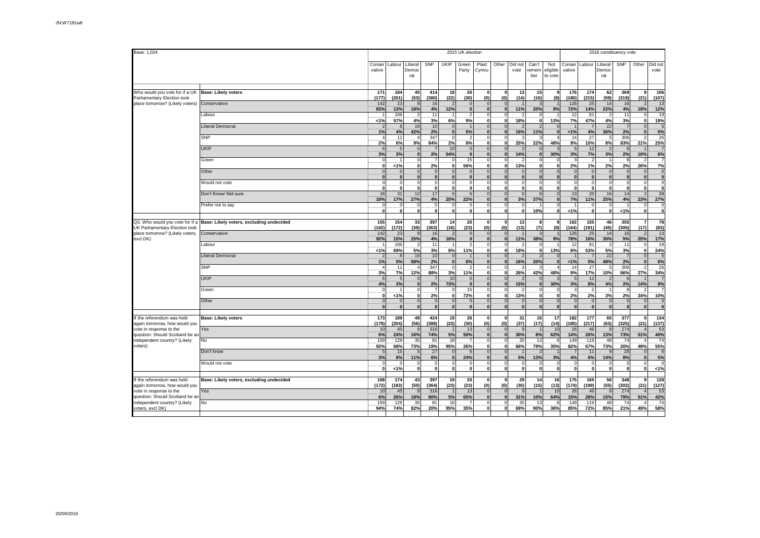| Base: 1,024                                                                         |                                          |                         | 2015 UK election<br>2016 constituency vote |                                    |                            |                                        |                                        |                                 |                                             |                  |                                    |                                    |                                 |                                |                          |                            |                                 |                                |
|-------------------------------------------------------------------------------------|------------------------------------------|-------------------------|--------------------------------------------|------------------------------------|----------------------------|----------------------------------------|----------------------------------------|---------------------------------|---------------------------------------------|------------------|------------------------------------|------------------------------------|---------------------------------|--------------------------------|--------------------------|----------------------------|---------------------------------|--------------------------------|
|                                                                                     |                                          | Conser<br>vative        | Labour                                     | Liberal<br>Democ<br>rat            | SNP                        | UKIP                                   | Green<br>Party                         | Plaid<br>Cymru                  | Other                                       | Did not<br>vote  | Can't<br>remem<br>ber              | Not<br>eligible<br>to vote         | Conser<br>vative                | Labour                         | Liberal<br>Democ<br>rat  | <b>SNP</b>                 | Other                           | Did not<br>vote                |
| Who would you vote for if a UK<br>Parliamentary Election took                       | <b>Base: Likely voters</b>               | 171<br>(177)            | 184<br>(201)                               | 45<br>(53)                         | 414<br>(380)               | 18<br>(22)                             | 26<br>(30)                             | $\mathbf{0}$<br>(0)             | $\mathbf{0}$<br>(0)                         | 13<br>(14)       | 15<br>(16)                         | -9<br>(8)                          | 176<br>(180)                    | 174<br>(215)                   | 62<br>(59)               | 369<br>(319)               | (21)                            | 106<br>(107)                   |
| place tomorrow? (Likely voters)                                                     | Conservative                             | 142<br>83%              | 23<br>12%                                  | 8<br>18%                           | 16<br>4%                   | $\overline{2}$<br>12%                  | $\overline{0}$<br>$\mathbf{0}$         | $\Omega$<br>$\bf{0}$            | $\Omega$<br>$\mathbf{0}$                    | 11%              | 3<br>20%                           | 9%                                 | 126<br>72%                      | 25<br>14%                      | 14<br>22%                | 16<br>4%                   | 19%                             | 13<br>12%                      |
|                                                                                     | Labour                                   | 1%                      | 106<br>57%                                 | $\overline{2}$<br>4%               | 11<br>3%                   | $\mathbf{1}$<br>6%                     | $\mathfrak{p}$<br>9%                   | $\circ$<br>0                    | $\mathbf{0}$<br>$\mathbf{0}$                | 18%              | $\mathbf 0$<br>$\mathbf{0}$        | 13%                                | 12<br>7%                        | 81<br>47%                      | 2<br>4%                  | 11<br>3%                   | $\mathbf 0$                     | 19<br>18%                      |
|                                                                                     | <b>Liberal Democrat</b>                  | $\overline{2}$<br>1%    | 4%                                         | 19<br>42%                          | 10<br>2%                   | $\mathbf 0$<br>$\overline{\mathbf{0}}$ | $\overline{1}$<br>5%                   | $\Omega$<br>$\mathbf{0}$        | $\overline{0}$<br>$\mathbf{0}$              | 16%              | $2 \overline{2}$<br>11%            | $\mathbf{r}$                       | $1\%$                           | 4%                             | 22<br>36%                | $\overline{7}$<br>2%       |                                 | $\overline{5}$<br>5%           |
|                                                                                     | <b>SNP</b>                               | 4<br>2%                 | 11<br>6%                                   | $\overline{4}$<br>9%               | 347<br>84%                 | $\mathbf 0$<br>2%                      | $\overline{2}$<br>8%                   | $\circ$<br>0                    | $\mathbf 0$<br>$\mathbf{0}$                 | 25%              | 3<br>22%                           | 48%                                | 14<br>8%                        | 27<br>15%                      | 5<br>8%                  | 306<br>83%                 | 21%                             | 26<br>25%                      |
|                                                                                     | <b>UKIP</b>                              | 6<br>3%                 | 3%                                         | $\mathbf 0$<br>$\mathbf{0}$        | 2%                         | 10<br>54%                              | $\mathbf 0$<br>$\mathbf{0}$            | $\mathbf{0}$<br>$\mathbf{0}$    | $\overline{0}$<br>$\overline{0}$            | 14%              | $\mathbf{0}$<br>$\mathbf{0}$       | 30%                                | $\sqrt{5}$<br>3%                | 12<br>7%                       | 2<br>3%                  | $6 \overline{6}$<br>2%     | 10%                             | 6%                             |
|                                                                                     | Green                                    | 0<br>0                  | < 1%                                       | $\Omega$<br>0                      | 2%                         | $\mathbf 0$<br>0                       | 15<br>56%                              | $\circ$<br>0                    | $\overline{0}$<br>$\mathbf{0}$              | 13%              | $\mathbf 0$<br>$\mathbf{0}$        | O                                  | 3<br>2%                         | 1%                             | 2%                       | 8<br>2%                    | 26%                             | 7%                             |
|                                                                                     | Other                                    | n<br>$\Omega$           |                                            | $\Omega$<br>$\mathbf{0}$           | $\Omega$                   | $\mathbf{0}$<br>$\mathbf{0}$           | $\Omega$<br>$\Omega$                   | $\Omega$<br>$\bf{0}$            | $\Omega$<br>$\Omega$                        |                  | $\Omega$<br>$\Omega$               |                                    | $\mathbf 0$<br>$\mathbf{0}$     | $\Omega$<br>$\Omega$           | $\sqrt{a}$<br>$\bf{0}$   | $\Omega$                   | n                               | $\Omega$<br>$\mathbf{0}$       |
|                                                                                     | Would not vote                           | $\Omega$<br>$\Omega$    | $\Omega$<br>$\Omega$                       | $\mathbf 0$<br>$\mathbf{0}$        | $\epsilon$<br>$\mathbf{0}$ | $\mathbf 0$<br>$\mathbf{0}$            | $\Omega$<br>$\mathbf{0}$               | $\Omega$<br>0l                  | $\circ$<br>οl                               | $\Omega$         | $\Omega$<br>$\mathbf{0}$           | O                                  | $\overline{0}$<br>$\mathbf{0}$  | $\mathbf 0$<br>$\mathbf{0}$    | $\Omega$<br>$\mathbf{0}$ | $\overline{0}$<br>0        | $\Omega$<br>$\Omega$            | $\mathsf{C}$<br>$\Omega$       |
|                                                                                     | Don't Know/ Not sure                     | 16<br>10%               | 31<br>17%                                  | 12<br>27%                          | 17<br>4%                   | 5<br>25%                               | 6<br>22%                               | $\Omega$<br> 0                  | $\overline{0}$<br>$\mathbf{0}$              | 3%               | 6<br>37%                           | $\mathbf{r}$                       | 13<br>7%                        | 20<br>11%                      | 16<br>25%                | 14<br>4%                   | 23%                             | 28<br>27%                      |
|                                                                                     | Prefer not to say                        | -ol<br>$\mathbf{r}$     | $\Omega$<br>$\overline{0}$                 | $\mathbf 0$<br>$\mathbf{0}$        | $\Omega$<br>$\Omega$       | $\mathbf 0$<br>$\overline{0}$          | $\overline{0}$<br>$\mathbf{0}$         | <sup>0</sup><br>0               | $\circ$<br>$\Omega$                         | $\Omega$         | $\overline{1}$<br>10%              | O                                  | $\overline{1}$<br>1%            | $\overline{0}$<br>$\mathbf{0}$ | $\Omega$<br>$\mathbf{0}$ | $\overline{1}$<br>1%       | $\Omega$                        | $\mathbf 0$<br>$\Omega$        |
| Q3. Who would you vote for if a                                                     | Base: Likely voters, excluding undecided | 155                     | 154                                        | 33                                 | 397                        | 14                                     | 20                                     | 0                               | $\mathbf{0}$                                | 13               | 8                                  | g                                  | 162                             | 155                            | 46                       | 355                        |                                 | 78                             |
| UK Parliamentary Election took<br>place tomorrow? (Likely voters,                   | Conservative                             | (162)<br>142            | (172)<br>23                                | (39)<br>$\mathbf{8}$               | (363)<br>16                | (18)<br>$\overline{2}$                 | (23)<br>$\overline{0}$<br>$\mathbf{0}$ | (0)<br>$\Omega$<br>$\mathbf{0}$ | (0)<br>$\Omega$<br>$\mathbf{0}$             | (13)<br>11%      | (7)<br>3                           | (8)                                | (164)<br>126                    | (191)<br>25                    | (45)<br>14               | (305)<br>16                | (17)                            | (83)<br>13<br>17%              |
| excl DK)                                                                            | abour                                    | 92%<br>1%               | 15%<br>106<br>69%                          | 25%<br>$\overline{2}$<br>5%        | 4%<br>11<br>3%             | 16%<br>8%                              | $\overline{\phantom{a}}$<br>11%        | $\circ$<br>0                    | $\Omega$<br>$\mathbf{0}$                    | 18%              | 38%<br>$\Omega$<br>$\mathbf{0}$    | 9%<br>13%                          | 78%<br>12<br>8%                 | 16%<br>81<br>53%               | 30%<br>2<br>5%           | 5%<br>11<br>3%             | 25%<br>$\Omega$                 | 19<br>24%                      |
|                                                                                     | <b>Liberal Democrat</b>                  | $\overline{2}$<br>1%    | 5%                                         | 19<br>58%                          | 10<br>2%                   | $\Omega$<br>$\mathbf 0$                | 6%                                     | 0                               | $\Omega$<br>$\mathbf{0}$                    | 16%              | $\overline{2}$<br>20%              | $\mathbf{0}$                       | 1%                              | 5%                             | 22<br>48%                | $\overline{7}$<br>2%       | $\Omega$                        | 6%                             |
|                                                                                     | <b>SNP</b>                               | $\overline{4}$<br>3%    | 11<br>7%                                   | $\overline{4}$<br>12%              | 347<br>88%                 | $\mathbf 0$<br>3%                      | $\overline{2}$<br>11%                  | $\circ$<br> 0                   | $\overline{0}$<br>$\mathbf{0}$              | 26%              | 3<br>42%                           | 48%                                | 14<br>9%                        | 27<br>17%                      | 5<br>10%                 | 306<br>86%                 | $\overline{\phantom{a}}$<br>27% | 26<br>34%                      |
|                                                                                     | <b>UKIP</b>                              | 6<br>4%                 | 3%                                         | $\mathbf{0}$<br>$\mathbf{0}$       | 2%                         | 10<br>73%                              | $\overline{0}$<br>$\mathbf{0}$         | $\Omega$<br>$\mathbf{0}$        | $\overline{0}$<br>$\mathbf{0}$              | 15%              | $\mathbf{0}$<br>$\mathbf{0}$       | 30%                                | 5<br>3%                         | 12<br>8%                       | 2<br>4%                  | 6<br>2%                    | 14%                             | 9%                             |
|                                                                                     | Green                                    | $\circ$<br>$\mathbf{0}$ | < 1%                                       | $\circ$<br>$\mathbf 0$             | 2%                         | $\mathbf 0$<br>0                       | 15<br>72%                              | <sup>0</sup><br>0               | $\overline{0}$<br>$\mathbf{0}$              | 13%              | $\overline{0}$<br>$\mathbf{0}$     | O                                  | $\mathbf{3}$<br>2%              | $\overline{\phantom{a}}$<br>2% | $\mathbf{1}$<br>3%       | 8<br>2%                    | 34%                             | $\overline{7}$<br>10%          |
|                                                                                     | Other                                    | $\mathbf 0$<br>$\Omega$ |                                            | $\mathbf 0$<br>$\mathbf{0}$        | $\Omega$<br>$\mathbf{0}$   | $\mathbf 0$<br>$\mathbf{0}$            | $\mathbf 0$<br>$\mathbf{0}$            | $\overline{0}$<br>$\Omega$      | $\mathbf{0}$<br>$\mathbf{0}$                |                  | $\Omega$<br>$\mathbf{0}$           |                                    | $\mathbf 0$<br>$\mathbf{0}$     | $\mathbf 0$<br>$\mathbf{0}$    | $\mathbf 0$<br>$\Omega$  | $\overline{0}$<br>$\Omega$ |                                 | $\mathfrak{c}$<br>$\mathbf{0}$ |
| f the referendum was held                                                           | <b>Base: Likely voters</b>               | 173                     | 189                                        | 48                                 | 424                        | 19                                     | 26                                     | 0                               | $\mathbf{0}$                                | 31               | 16                                 | 17                                 | 182                             | 177                            | 65                       | 377                        |                                 | 134                            |
| again tomorrow, how would you<br>vote in response to the                            | Yes                                      | (179)<br>10             | (204)<br>45                                | (56)<br>8                          | (388)<br>316               | (23)<br>$\mathbf{1}$                   | (30)<br>13                             | (0)<br>$\Omega$                 | (0)<br>$\Omega$                             | (37)             | (17)<br>1                          | (14)<br>10                         | (185)<br>26                     | (217)<br>46                    | (63)<br>$\mathbf{8}$     | (325)<br>274               | (21)                            | (137)<br>53                    |
| question: Should Scotland be ar<br>independent country? (Likely                     | No                                       | 6%<br>159               | 24%<br>129                                 | 16%<br>35                          | 74%<br>81                  | 5%<br>18                               | 50%                                    | $\mathbf{0}$<br>$\circ$         | $\mathbf{0}$<br>$\overline{0}$              | 30%<br>20        | 8%<br>13                           | 62%                                | 14%<br>149                      | 26%<br>119                     | 13%<br>48                | 73%<br>74                  | 51%                             | 40%<br>$\overline{74}$         |
| voters)                                                                             | Don't know                               | 92%<br>5                | 68%<br>15                                  | 73%<br>5                           | 19%<br>27                  | 95%<br>$\Omega$<br>$\mathbf{0}$        | 26%<br>6                               | 0<br>$\Omega$                   | $\mathbf{0}$<br>$\Omega$<br>$\Omega$        | 66%              | 79%                                | 35%                                | 82%                             | 67%<br>11                      | 73%                      | 20%<br>28                  | 49%                             | 55%                            |
|                                                                                     | Would not vote                           | 3%<br>0<br>0            | 8%<br>- 0<br>1%                            | 11%<br>$\mathbf 0$<br>$\mathbf{0}$ | 6%<br>$\Omega$<br>$\Omega$ | $\mathbf 0$<br>$\mathbf{0}$            | 24%<br>$\circ$<br>$\mathbf{0}$         | $\bf{0}$<br>$\circ$<br>0l       | $\circ$<br>0                                | 5%               | 13%<br>$\mathbf 0$<br>$\mathbf{0}$ | 3%<br>$\mathsf{C}$<br>$\mathbf{0}$ | 4%<br>$\circ$<br>$\overline{0}$ | 6%<br>$\circ$<br>$\Omega$      | 14%<br>$\mathbf 0$<br>0  | 8%<br>$\overline{0}$<br>0  | $\Omega$                        | 5%<br>1%                       |
| f the referendum was held                                                           | Base: Likely voters, excluding undecided | 168                     | 174                                        | 43                                 | 397                        | 19                                     | 20                                     | 0                               | $\mathbf{0}$                                | 29               | 14                                 | 16                                 | 175                             | 165                            | 56                       | 348                        |                                 | 128                            |
| again tomorrow, how would you<br>vote in response to the                            | Yes                                      | (172)<br>10             | (183)<br>45                                | (50)<br>8                          | (364)<br>316               | (23)                                   | (23)<br>13                             | (0)<br>$\Omega$                 | (0)<br>$\Omega$                             | (35)             | (15)                               | (13)<br>10                         | (174)<br>26                     | (199)<br>46                    | (55)<br>$\mathbf{8}$     | (302)<br>274               | (21)                            | (127)<br>53                    |
| question: Should Scotland be an<br>independent country? (Likely<br>voters, excl DK) | No                                       | 6%<br>159<br>94%        | 26%<br>129<br>74%                          | 18%<br>35<br>82%                   | 80%<br>81<br>20%           | 5%<br>18<br>95%                        | 65%<br>$\overline{7}$<br>35%           | 0 <br>$\circ$<br>0              | $\mathbf{0}$<br>$\mathbf 0$<br>$\mathbf{0}$ | 31%<br>20<br>69% | 10%<br>13<br>90%                   | 64%<br>36%                         | 15%<br>149<br>85%               | 28%<br>119<br>72%              | 15%<br>48<br>85%         | 79%<br>74<br>21%           | 51%<br>49%                      | 42%<br>.74<br>58%              |
|                                                                                     |                                          |                         |                                            |                                    |                            |                                        |                                        |                                 |                                             |                  |                                    |                                    |                                 |                                |                          |                            |                                 |                                |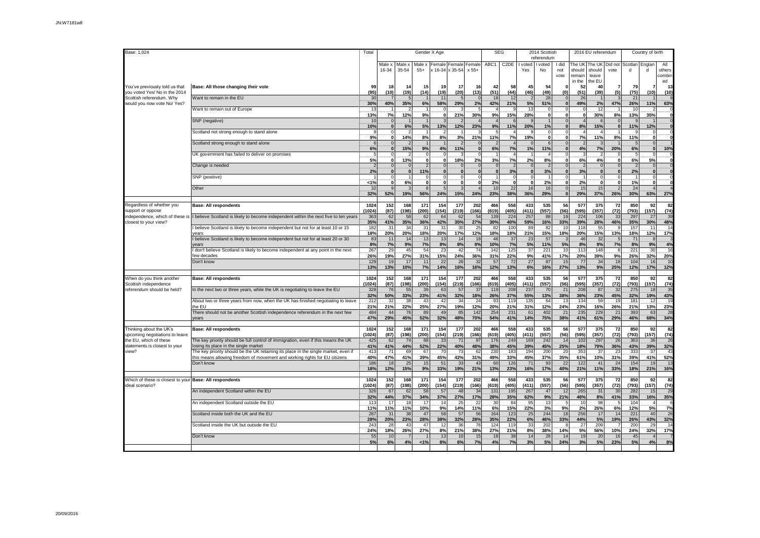| Base: 1,024                                                     |                                                                                                                              | Total                | Gender X Age         |                       |                             |                    |                                                      |                    | <b>SEG</b>               |                     |                                 | 2014 Scottish<br>referendum |                      | 2016 EU referendum          |                                           |                       | Country of birth    |                          |                               |
|-----------------------------------------------------------------|------------------------------------------------------------------------------------------------------------------------------|----------------------|----------------------|-----------------------|-----------------------------|--------------------|------------------------------------------------------|--------------------|--------------------------|---------------------|---------------------------------|-----------------------------|----------------------|-----------------------------|-------------------------------------------|-----------------------|---------------------|--------------------------|-------------------------------|
|                                                                 |                                                                                                                              |                      | Male x<br>16-34      | Male x<br>35-54       | $55+$                       |                    | Male x   Female   Female   Female<br>x 16-34 x 35-54 | x 55+              | ABC1                     |                     | C2DE   I voted   I voted<br>Yes | No                          | I did<br>not<br>vote | should<br>remain<br>in the  | The UK The UK<br>should<br>leave<br>he El | Did not<br>vote       | Scotlan Englan<br>d |                          | All<br>others<br>combin<br>ed |
| You've previously told us that<br>you voted Yes/ No in the 2014 | Base: All those changing their vote                                                                                          | 99<br>(95)           | 18<br>(10)           | 14<br>(19)            | 15<br>(14)                  | 19<br>(19)         | 17<br>(20)                                           | 16<br>(13)         | 42<br>(51)               | 58<br>(44)          | 45<br>(46)                      | 54<br>(49)                  | (0)                  | 52<br>(51)                  | 40<br>(39)                                | (5)                   | 79<br>(75)          | 7<br>(10)                | 13<br>(10)                    |
| Scottish referendum. Why<br>would you now vote No/ Yes?         | Want to remain in the EU                                                                                                     | 30<br>30%            | 40%                  | 5 <sub>5</sub><br>35% | 6%                          | 11<br>58%          | 5<br>29%                                             | 2%                 | 18<br>42%                | 12<br>21%           | 5%                              | 28<br>51%                   | $\sqrt{2}$           | 26<br>49%                   | 2%                                        | 47%                   | 21<br>26%           | 11%                      | 63%                           |
|                                                                 | Want to remain out of Europe                                                                                                 | 13<br>13%            | 7%                   | 12%                   | 9%                          | -0                 | 21%                                                  | 30%                | 9%                       | 15%                 | 13<br>28%                       | 0                           |                      | 0<br>$\mathbf{0}$           | 12<br>30%                                 | 8%                    | 10<br>13%           | 35%                      |                               |
|                                                                 | SNP (negative)                                                                                                               | 10<br>10%            | $\Omega$             | 6%                    | $\overline{1}$<br>5%        | 13%                | 12%                                                  | 23%                | 9%                       | 11%                 | 20%                             | 1%                          |                      | $\boldsymbol{\Delta}$<br>8% | 15%                                       |                       | 11%                 | 12%                      | $\bf{0}$                      |
|                                                                 | Scotland not strong enough to stand alone                                                                                    | 9%                   | $\mathbf{0}$         | 14%                   | $\mathbf{1}$<br>8%          | 8%                 | 3%                                                   | 21%                | 11%                      | 7%                  | 19%                             | $\mathbf{0}$                | O                    | 7%                          | 11%                                       | 8%                    | 11%                 | $\Omega$<br>$\mathbf{0}$ |                               |
|                                                                 | Scotland strong enough to stand alone                                                                                        | 6<br>6%              | $\Omega$<br>$\bf{0}$ | 15%                   | 9%                          | 4%                 | 11%                                                  |                    | 6%                       | 7%                  | $\mathfrak{c}$<br>1%            | 11%                         |                      | 4%                          | 7%                                        | 20%                   | 5<br>6%             | $\mathbf 0$<br>$\bf{0}$  | 10%                           |
|                                                                 | UK government has failed to deliver on promises                                                                              | 5%                   | $\Omega$             | 2<br>13%              | $\mathbf 0$<br>$\mathbf{0}$ | C                  | 18%                                                  | 2%                 | 3%                       | 7%                  | 2%                              | 8%                          |                      | 6%                          | 4%                                        |                       | -5<br>6%            | $\Omega$<br>5%           |                               |
|                                                                 | Change is needed                                                                                                             | 2%                   | $\Omega$             | $\Omega$<br>$\bf{0}$  | $\mathcal{P}$<br>11%        |                    | $\mathbf 0$<br>$\mathbf{0}$                          |                    | $\Omega$<br>$\mathbf{0}$ | 3%                  | $\mathsf{C}$<br>$\mathbf{0}$    | 3%                          |                      | $\overline{2}$<br>3%        |                                           |                       | $\mathcal{P}$<br>2% | $\mathbf 0$<br>$\bf{0}$  |                               |
|                                                                 | SNP (positive)                                                                                                               | 1%                   | $\mathbf{0}$         | 6%                    | $\Omega$<br>$\mathbf{0}$    | $\mathbf{0}$       | $\mathbf 0$<br>$\mathbf 0$                           |                    | 2%                       | $\Omega$            | $\Omega$<br>$\mathbf{0}$        | 2%                          | $\mathbf 0$          | 2%                          | O                                         |                       | 1%                  | $\mathbf 0$<br>0         |                               |
|                                                                 | Other                                                                                                                        | 32<br>32%            | q<br>52%             | 19%                   | $\mathcal{R}$<br>56%        | 24%                | 15%                                                  | 24%                | 10<br>23%                | 22<br>38%           | 16<br>36%                       | 16<br>29%                   |                      | 15<br>29%                   | 15<br>37%                                 | 26%                   | 24<br>30%           | $\Delta$<br>63%          | 27%                           |
| Regardless of whether you                                       | <b>Base: All respondents</b>                                                                                                 | 1024                 | 152                  | 168                   | 171                         | 154                | 177                                                  | 202                | 466                      | 558                 | 433                             | 535                         | 56                   | 577                         | 375                                       | 72                    | 850                 | 92                       | 82                            |
| support or oppose<br>independence, which of these is            | I believe Scotland is likely to become independent within the next five to ten years                                         | (1024)<br>363        | (87)<br>62           | (198)<br>58           | (200)<br>62                 | (154)<br>64        | (219)<br>62                                          | (166)<br>54        | (619)<br>139             | (405)<br>224        | (411)<br>257                    | (557)<br>88                 | (56)<br>19           | (595)<br>224                | (357)<br>106                              | (72)<br>33            | (793)<br>297        | (157)<br>27              | (74)<br>39<br>48%             |
| closest to your view?                                           | believe Scotland is likely to become independent but not for at least 10 or 15<br>vears                                      | 35%<br>182<br>18%    | 41%<br>31<br>20%     | 35%<br>34<br>20%      | 36%<br>31<br>18%            | 42%<br>31<br>20%   | 35%<br>30<br>17%                                     | 27%<br>25<br>12%   | 30%<br>82<br>18%         | 40%<br>100<br>18%   | 59%<br>89<br>21%                | 16%<br>82<br>15%            | 33%<br>10<br>18%     | 39%<br>118<br>20%           | 28%<br>55<br>15%                          | 46%<br>13%            | 35%<br>157<br>18%   | 30%<br>11<br>12%         | 14<br>17%                     |
|                                                                 | believe Scotland is likely to become independent but not for at least 20 or 30<br>rears                                      | 83<br>8%             | 11<br>7%             | 14<br>9%              | 13<br>7%                    | 13<br>8%           | 14<br>8%                                             | 18<br>9%           | 46<br>10%                | 37<br>7%            | 23<br>5%                        | 57<br>11%                   | 5%                   | 46<br>8%                    | 32<br>9%                                  | 7%                    | 71<br>8%            | 9%                       | 4%                            |
|                                                                 | don't believe Scotland is likely to become independent at any point in the next<br>few decades                               | 267<br>26%           | 29<br>19%            | 45<br>27%             | 54<br>31%                   | 23<br>15%          | 42<br>24%                                            | 74<br>36%          | 142<br>31%               | 125<br>22%          | 37<br>9%                        | 221<br>41%                  | 10<br>17%            | 113<br>20%                  | 148<br>39%                                | 9%                    | 221<br>26%          | 30<br>32%                | 16<br>20%                     |
|                                                                 | Don't know                                                                                                                   | 129<br>13%           | 19<br>13%            | 17<br>10%             | 11<br>7%                    | 22<br>14%          | 28<br>16%                                            | 32<br>16%          | 57<br>12%                | 72<br>13%           | 27<br>6%                        | 87<br>16%                   | 15<br><b>27%</b>     | 77<br>13%                   | 34<br>9%                                  | 18<br>25%             | 104<br>12%          | 16<br>17%                | 1 <sup>c</sup><br>12%         |
| When do you think another                                       | <b>Base: All respondents</b>                                                                                                 | 1024                 | 152                  | 168                   | 171                         | 154                | 177                                                  | 202                | 466                      | 558                 | 433                             | 535                         | 56                   | 577                         | 375                                       | 72                    | 850                 | 92                       | 82                            |
| Scottish independence<br>referendum should be held?             | In the next two or three years, while the UK is negotiating to leave the EU                                                  | (1024)<br>328<br>32% | (87)<br>76<br>50%    | (198)<br>55<br>33%    | (200)<br>39<br>23%          | (154)<br>63<br>41% | (219)<br>57<br>32%                                   | (166)<br>37<br>18% | (619)<br>119<br>26%      | (405)<br>208<br>37% | (411)<br>237<br>55%             | (557)<br>70<br>13%          | (56)<br>21<br>38%    | (595)<br>208<br>36%         | (357)<br>87<br>23%                        | (72)<br>32<br>45%     | (793)<br>275<br>32% | (157)<br>18<br>19%       | (74)<br>35<br>43%             |
|                                                                 | About two or three years from now, when the UK has finished negotiating to leave<br>the EU                                   | 212<br>21%           | 32<br>21%            | 38<br>22%             | 43<br>25%                   | 42<br>27%          | 34<br>19%                                            | 24<br>12%          | 93<br>20%                | 119<br>21%          | 135<br>31%                      | 64<br>12%                   | 13<br>24%            | 134<br>23%                  | 59<br>16%                                 | 19<br>26%             | 181<br>21%          | 12<br>13%                | 19<br>23%                     |
|                                                                 | There should not be another Scottish independence referendum in the next few<br>vears                                        | 484<br>47%           | 44<br>29%            | 76<br>45%             | 89<br>52%                   | 49<br>32%          | 85<br>48%                                            | 142<br>70%         | 254<br>54%               | 231<br>41%          | 61<br>14%                       | 402<br>75%                  | 21<br>38%            | 235<br>41%                  | 229<br>61%                                | 21<br>29%             | 393<br>46%          | 63<br>68%                | 28<br>34%                     |
| Thinking about the UK's                                         | <b>Base: All respondents</b>                                                                                                 | 1024                 | 152                  | 168                   | 171                         | 154                | 177                                                  | 202                | 466                      | 558                 | 433                             | 535                         | 56                   | 577                         | 375                                       | 72                    | 850                 | 92                       | 82                            |
| upcoming negotiations to leave<br>the EU, which of these        | The key priority should be full control of immigration, even if this means the UK                                            | (1024)<br>425        | (87)<br>62           | (198)<br>74           | (200)<br>88                 | (154)<br>33        | (219)<br>71                                          | (166)<br>97        | (619)<br>176             | (405)<br>249        | (411)<br>169                    | (557)<br>242                | (56)<br>14           | (595)<br>102                | (357)<br>297                              | (72)<br>26            | (793)<br>363        | (157)<br>36              | (74)<br>26                    |
| statements is closest to your<br>view?                          | losing its place in the single market<br>The key priority should be the UK retaining its place in the single market, even if | 41%<br>413           | 41%<br>71            | 44%<br>69             | 52%<br>67                   | 22%<br>70          | 40%<br>73                                            | 48%<br>62          | 38%<br>230               | 45%<br>183          | 39%<br>194                      | 45%<br>200                  | 25%<br>20            | 18%<br>353                  | 79%<br>37                                 | 36%<br>2 <sup>2</sup> | 43%<br>333          | 39%<br>37                | 32%<br>43                     |
|                                                                 | this means allowing freedom of movement and working rights for EU citizens<br>Don't know                                     | 40%<br>186<br>18%    | 47%<br>18<br>12%     | 41%<br>25<br>15%      | 39%<br>15<br>9%             | 45%<br>51<br>33%   | 42%<br>33<br>19%                                     | 31%<br>43<br>21%   | 49%<br>60<br>13%         | 33%<br>126<br>23%   | 45%<br>71<br>16%                | 37%<br>93<br>17%            | 35%<br>22<br>40%     | 61%<br>122<br>21%           | 10%<br>41<br>11%                          | 31%<br>24<br>33%      | 39%<br>154<br>18%   | 41%<br>19<br>21%         | 52%<br>13<br>16%              |
| Which of these is closest to your Base: All respondents         |                                                                                                                              | 1024                 | 152                  | 168                   | 171                         | 154                | 177                                                  | 202                | 466                      | 558                 | 433                             | 535                         | 56                   | 577                         | 375                                       | 72                    | 850                 | 92                       | 82                            |
| ideal scenario?                                                 | An independent Scotland within the EU                                                                                        | (1024)<br>326        | (87)<br>67           | (198)<br>62           | (200)<br>58                 | (154)<br>57        | (219)<br>48                                          | (166)<br>34        | (619)<br>131             | (405)<br>195        | (411)<br>267                    | (557)<br>47                 | (56)<br>12           | (595)<br>265                | (357)<br>31                               | (72)<br>30            | (793)<br>282        | (157)<br>15              | (74)<br>29                    |
|                                                                 | An independent Scotland outside the EU                                                                                       | 32%<br>113           | 44%<br>17            | 37%<br>18             | 34%<br>.17                  | 37%<br>.14         | 27%<br>25                                            | 17%<br>22          | 28%<br>30                | 35%<br>84           | 62%<br>95                       | 9%<br>13                    | 21%                  | 46%<br>10                   | 8%<br>98                                  | 41%                   | 33%<br>104          | 16%<br>$\overline{4}$    | 35%                           |
|                                                                 | Scotland inside both the UK and the EU                                                                                       | 11%<br>287           | 11%<br>31            | 11%<br>38             | 10%<br>47                   | 9%<br>58           | 14%<br>57                                            | 11%<br>56          | 6%<br>164                | 15%<br>123          | 22%<br>25                       | 3%<br>244                   | 9%<br>18             | 2%<br>256                   | 26%<br>17                                 | 6%<br>14              | 12%<br>221          | 5%<br>40                 | 7%<br>26                      |
|                                                                 | Scotland inside the UK but outside the EU                                                                                    | 28%<br>243           | 20%<br>28            | 23%<br>43             | 28%<br>47                   | 38%<br>12          | 32%<br>36                                            | 28%<br>76          | 35%<br>124               | 22%<br>119          | 6%<br>33                        | 46%<br>202                  | 33%                  | 44%<br>27                   | 5%<br>209                                 | 19%                   | 26%<br>200          | 43%<br>29                | 32%<br>14                     |
|                                                                 | Don't know                                                                                                                   | 24%<br>55            | 18%<br>10            | 26%<br>$\overline{7}$ | 27%                         | 8%<br>13           | 21%<br>10                                            | 38%<br>15          | 27%<br>18                | 21%<br>38           | 8%<br>14                        | 38%<br>28                   | 14%<br>14            | 5%<br>19                    | 56%<br>20                                 | 10%<br>16             | 24%<br>45           | 32%<br>$\overline{4}$    | 17%                           |
|                                                                 |                                                                                                                              | 5%                   | 6%                   | 4%                    | 1%                          | 8%                 | 6%                                                   | 7%                 | 4%                       | 7%                  | 3%                              | 5%                          | 24%                  | 3%                          | 5%                                        | 23%                   | 5%                  | 4%                       | 8%                            |